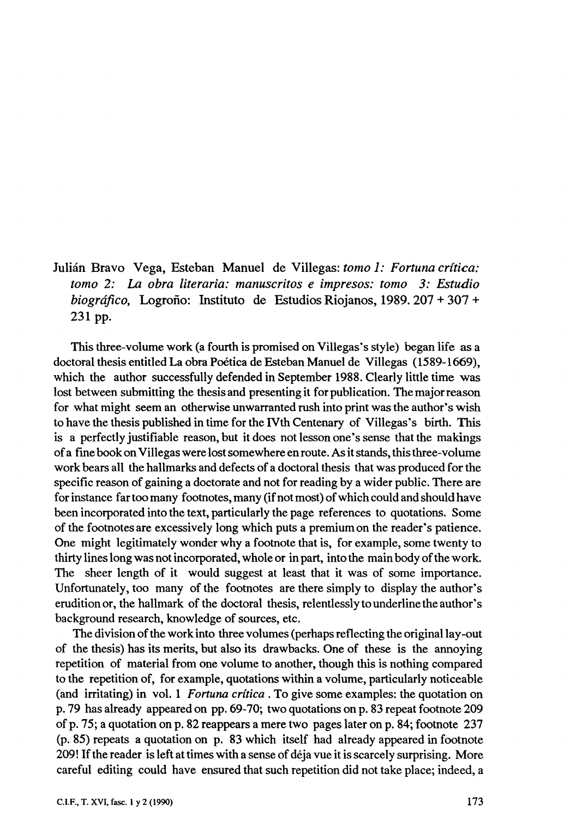Julián Bravo Vega, Esteban Manuel de Villegas: *tomo 1: Fortuna crítica: tomo 2:* La *obra literaria: manuscritos e impresos: tomo 3: Estudio biográfico,* Logroño: Instituto de Estudios Riojanos, 1989. 207 + 307 + 231 pp.

This three-volume work (a fourth is promised on Villegas's style) began life as a doctoral thesis entitled La obra Poética de Esteban Manuel de Villegas ( 1589-1669), which the author successfully defended in September 1988. Clearly little time was lost between submitting the thesis and presenting it for publication. The major reason for what might seem an otherwise unwarranted rush into print was the author's wish to have the thesis published in time for the IVth Centenary of Villegas's birth. This is a perfectly justifiable reason, but it does not lesson one's sense that the makings of a fme book on Villegas were lost somewhere en route. As it stands, this three-volume work bears all the hallmarks and defects of a doctoral thesis that was produced for the specific reason of gaining a doctorate and not for reading by a wider public. There are for instance far too many footnotes, many (if not most) of which could and should ha ve been incorporated into the text, particularly the page references to quotations. Some of the footnotes are excessively long which puts a premium on the reader's patience. One might legitimately wonder why a footnote that is, for example, sorne twenty to thirty lines long was not incorporated, whole or in part, into the main body of the work. The sheer length of it would suggest at least that it was of some importance. Unfortunately, too many of the footnotes are there simply to display the author's eruditionor, the hallmark of the doctoral thesis, relentlesslytounderlinetheauthor's background research, knowledge of sources, etc.

The division of the work into three volumes (perhaps reflecting the original lay-out of the thesis) has its merits, but also its drawbacks. One of these is the annoying repetition of material from one volume to another, though this is nothing compared to the repetition of, for example, quotations within a volume, particularly noticeable (and irritating) in vol. 1 *Fortuna crítica.* To give sorne examples: the quotation on p. 79 has already appeared on pp. 69-70; two quotations on p. 83 repeat footnote 209 of p. 75; a quotation on p. 82 reappears a mere two pages later on p. 84; footnote 237 (p. 85) repeats a quotation on p. 83 which itself had already appeared in footnote 209! If the reader is left at times with a sense of déja vue it is scarcely surprising. More careful editing could have ensured that such repetition did not take place; indeed, a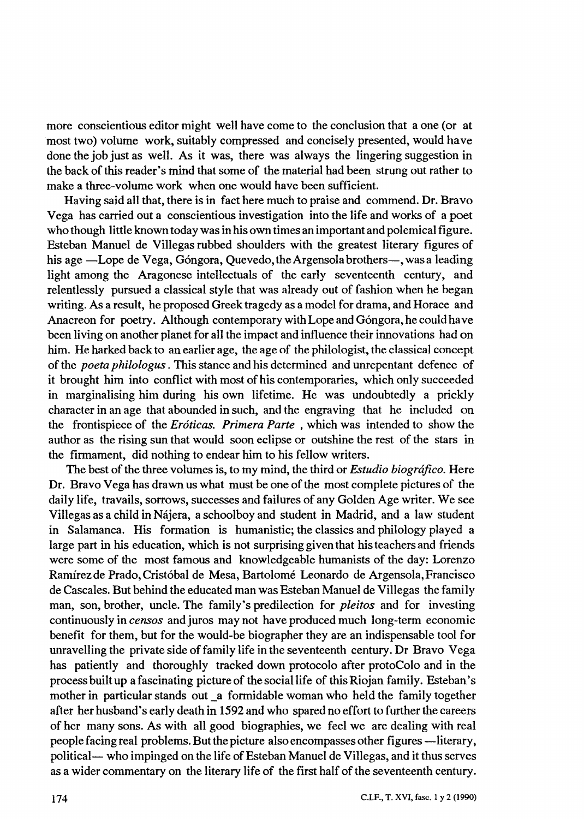more conscientious editor might well have come to the conclusion that a one (or at most two) volume work, suitably compressed and concisely presented, would have done the job just as well. As it was, there was always the lingering suggestion in the back of this reader's mind that some of the material had been strung out rather to make a three-volume work when one would have been sufficient.

Having said all that, there is in fact here much to praise and commend. Dr. Bravo Vega has carried out a conscientious investigation into the life and works of a poet who though little known today was in his own times an important and polemical figure. Esteban Manuel de Villegas rubbed shoulders with the greatest literary figures of his age -Lope de Vega, Góngora, Quevedo, the Argensolabrothers-, was a leading light among the Aragonese intellectuals of the early seventeenth century, and relentlessly pursued a classical style that was already out of fashion when he began writing. As a result, he proposed Greek tragedy as a model for drama, and Horace and Anacreon for poetry. Although contemporary with Lope and Góngora, he could ha ve been living on another planet for all the impact and influence their innovations had on him. He harked back to an earlier age, the age of the philologist, the classical concept of the *poeta philologus.* This stance and his determined and unrepentant defence of it brought him into conflict with most of his contemporaries, which only succeeded in marginalising him during his own lifetime. He was undoubtedly a prickly character in an age that abounded in such, and the engraving that he included on the frontispiece of the *Eróticas. Primera Parte* , which was intended to show the author as the rising sun that would soon eclipse or outshine the rest of the stars in the firmament, did nothing to endear him to his fellow writers.

The best of the three volumes is, to my mind, the third or *Estudio biográfico*. Here Dr. Bravo Vega has drawn us what must be one of the most complete pictures of the daily life, travails, sorrows, successes and failures of any Golden Age writer. We see Villegas as a child in Nájera, a schoolboy and student in Madrid, and a law student in Salamanca. His formation is humanistic; the classics and philology played a large part in his education, which is not surprising given that his teachers and friends were some of the most famous and knowledgeable humanists of the day: Lorenzo Ramírezde Prado, Cristóbal de Mesa, Bartolomé Leonardo de Argensola,Francisco de Cascales. But behind the educated man was Esteban Manuel de Villegas the family man, son, brother, uncle. The family's predilection for *pleitos* and for investing continuously in *censos* and juros may not have produced much long-term economic benefit for them, but for the would-be biographer they are an indispensable tool for unravelling the private side of family life in the seventeenth century. Dr Bravo Vega has patiently and thoroughly tracked down protocolo after protoColo and in the process built up a fascinating picture of the sociallife of this Riojan family. Esteban' s mother in particular stands out \_a formidable woman who held the family together after her husband's early death in 1592 and who spared no effort to further the careers of her many sons. As with all good biographies, we feel we are dealing with real people facing real problems. But the picture also encompasses other figures --literary, political— who impinged on the life of Esteban Manuel de Villegas, and it thus serves as a wider commentary on the literary life of the first half of the seventeenth century.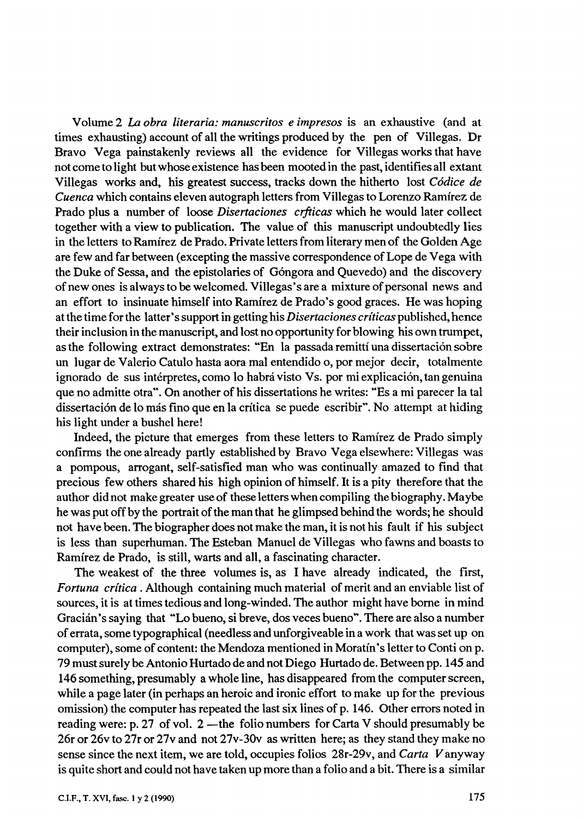Volume 2 *La obra literaria: manuscritos e impresos* is an exhaustive (and at times exhausting) account of all the writings produced by the pen of Villegas. Dr Bravo Vega painstakenly reviews all the evidence for Villegas works that have not cometo light but whose existence has been mooted in the past, identifies all extant Villegas works and, his greatest success, tracks down the hitherto lost *Códice de Cuenca* which contains eleven autograph letters from Villegas to Lorenzo Ramírez de Prado plus a number of loose *Disertaciones crfticas* which he would later collect together with a view to publication. The value of this manuscript undoubtedly lies in the letters to Ramírez de Prado. Private letters from literary men of the Golden Age are few and far between (excepting the massive correspondence of Lope de Vega with the Duke of Sessa, and the epistolaries of Góngora and Quevedo) and the discovery of new ones is always to be welcomed. Villegas • s are a mixture of personal news and an effort to insinuate himself into Ramírez de Prado's good graces. He was hoping at the time for the latter • s support in getting his *Disertaciones críticas* published, hence their inclusion in the manuscript, and lost no opportunity for blowing his own trumpet, as the following extract demonstrates: "En la passada remittí una dissertación sobre un lugar de Valerio Catulo hasta aora mal entendido o, por mejor decir, totalmente ignorado de sus intérpretes, como lo habrá visto Vs. por mi explicación, tan genuina que no admitte otra". On another of his dissertations he writes: "Es a mi parecer la tal dissertación de lo más fino que en la crítica se puede escribir". No attempt at hiding his light under a bushel here!

Indeed, the picture that emerges from these letters to Ramírez de Prado simply confirms the one already partly established by Bravo Vega elsewhere: Villegas was a pompous, arrogant, self-satisfied man who was continually amazed to find that precious few others shared his high opinion of himself. It is a pity therefore that the author did not make greater use of these letters when compiling the biography. Maybe he was put off by the portrait of the man that he glimpsed behind the words; he should not ha ve been. The biographer does not make the man, it is not his fault if his subject is less than superhuman. The Esteban Manuel de Villegas who fawns and boasts to Ramírez de Prado, is still, warts and all, a fascinating character.

The weakest of the three volumes is, as I have already indicated, the first, *Fortuna crítica* . Although containing much material of merit and an enviable list of sources, it is at times tedious and long-winded. The author might have borne in mind Gracián's saying that "Lo bueno, si breve, dos veces bueno". There are also a number of errata, sorne typographical (needless and unforgiveable in a work that was set up on computer), some of content: the Mendoza mentioned in Moratín's letter to Conti on p. 79 must surely be Antonio Hurtado de and not Diego Hurtado de. Between pp. 145 and 146 something, presumably a whole line, has disappeared from the computer screen, while a page later (in perhaps an heroic and ironic effort to make up for the previous omission) the computer has repeated the last six lines of p. 146. Other errors noted in reading were: p. 27 of vol.  $2$  —the folio numbers for Carta V should presumably be 26r or 26v to 27r or 27v and not 27v-30v as written here; as they stand they make no sense since the next item, we are told, occupies folios 28r-29v, and *Carta* Vanyway is quite short and could not have taken up more than a folio and a bit. There is a similar